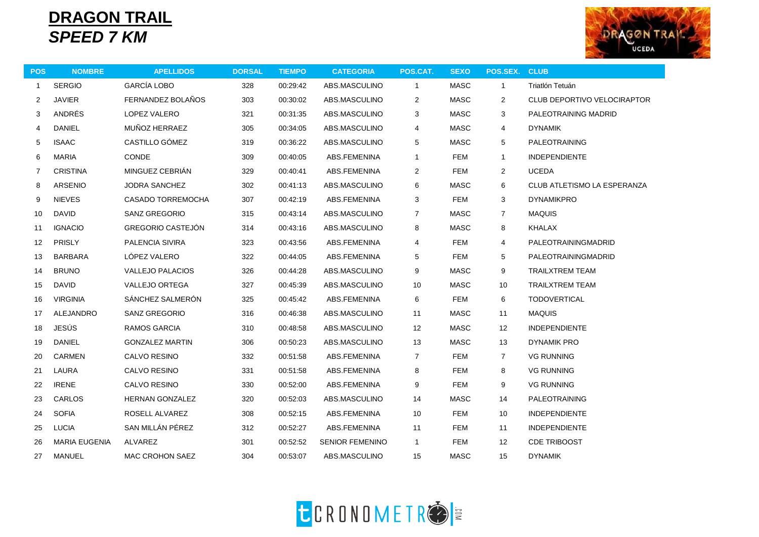## **DRAGON TRAIL** *SPEED 7 KM*



| <b>POS</b>     | <b>NOMBRE</b>        | <b>APELLIDOS</b>        | <b>DORSAL</b> | <b>TIEMPO</b> | <b>CATEGORIA</b>       | POS.CAT.                | <b>SEXO</b> | POS.SEX.        | <b>CLUB</b>                        |
|----------------|----------------------|-------------------------|---------------|---------------|------------------------|-------------------------|-------------|-----------------|------------------------------------|
| $\mathbf{1}$   | <b>SERGIO</b>        | <b>GARCÍA LOBO</b>      | 328           | 00:29:42      | ABS.MASCULINO          | $\mathbf{1}$            | <b>MASC</b> | $\overline{1}$  | Triatlón Tetuán                    |
| $\mathbf{2}$   | <b>JAVIER</b>        | FERNANDEZ BOLAÑOS       | 303           | 00:30:02      | ABS.MASCULINO          | 2                       | <b>MASC</b> | $\overline{2}$  | <b>CLUB DEPORTIVO VELOCIRAPTOR</b> |
| 3              | ANDRÉS               | LOPEZ VALERO            | 321           | 00:31:35      | ABS.MASCULINO          | 3                       | <b>MASC</b> | 3               | PALEOTRAINING MADRID               |
| 4              | <b>DANIEL</b>        | MUÑOZ HERRAEZ           | 305           | 00:34:05      | ABS.MASCULINO          | 4                       | <b>MASC</b> | 4               | <b>DYNAMIK</b>                     |
| 5              | <b>ISAAC</b>         | CASTILLO GÓMEZ          | 319           | 00:36:22      | ABS.MASCULINO          | 5                       | <b>MASC</b> | 5               | <b>PALEOTRAINING</b>               |
| 6              | <b>MARIA</b>         | CONDE                   | 309           | 00:40:05      | ABS.FEMENINA           | $\mathbf{1}$            | FEM         | $\mathbf{1}$    | <b>INDEPENDIENTE</b>               |
| $\overline{7}$ | <b>CRISTINA</b>      | MINGUEZ CEBRIÁN         | 329           | 00:40:41      | ABS.FEMENINA           | $\overline{2}$          | <b>FEM</b>  | $\overline{2}$  | <b>UCEDA</b>                       |
| 8              | <b>ARSENIO</b>       | <b>JODRA SANCHEZ</b>    | 302           | 00:41:13      | ABS.MASCULINO          | 6                       | <b>MASC</b> | 6               | CLUB ATLETISMO LA ESPERANZA        |
| 9              | <b>NIEVES</b>        | CASADO TORREMOCHA       | 307           | 00:42:19      | ABS.FEMENINA           | 3                       | FEM         | 3               | <b>DYNAMIKPRO</b>                  |
| 10             | <b>DAVID</b>         | SANZ GREGORIO           | 315           | 00:43:14      | ABS.MASCULINO          | $\overline{7}$          | MASC        | $\overline{7}$  | <b>MAQUIS</b>                      |
| 11             | <b>IGNACIO</b>       | GREGORIO CASTEJÓN       | 314           | 00:43:16      | ABS.MASCULINO          | 8                       | <b>MASC</b> | 8               | <b>KHALAX</b>                      |
| 12             | PRISLY               | PALENCIA SIVIRA         | 323           | 00:43:56      | ABS.FEMENINA           | $\overline{\mathbf{4}}$ | <b>FEM</b>  | 4               | PALEOTRAININGMADRID                |
| 13             | <b>BARBARA</b>       | LÓPEZ VALERO            | 322           | 00:44:05      | ABS.FEMENINA           | 5                       | <b>FEM</b>  | 5               | PALEOTRAININGMADRID                |
| 14             | <b>BRUNO</b>         | <b>VALLEJO PALACIOS</b> | 326           | 00:44:28      | ABS.MASCULINO          | 9                       | <b>MASC</b> | 9               | <b>TRAILXTREM TEAM</b>             |
| 15             | <b>DAVID</b>         | VALLEJO ORTEGA          | 327           | 00:45:39      | ABS.MASCULINO          | 10                      | <b>MASC</b> | 10              | <b>TRAILXTREM TEAM</b>             |
| 16             | <b>VIRGINIA</b>      | SÁNCHEZ SALMERÓN        | 325           | 00:45:42      | ABS.FEMENINA           | 6                       | <b>FEM</b>  | 6               | <b>TODOVERTICAL</b>                |
| 17             | ALEJANDRO            | <b>SANZ GREGORIO</b>    | 316           | 00:46:38      | ABS.MASCULINO          | 11                      | MASC        | 11              | <b>MAQUIS</b>                      |
| 18             | JESÚS                | RAMOS GARCIA            | 310           | 00:48:58      | ABS.MASCULINO          | 12                      | MASC        | 12              | <b>INDEPENDIENTE</b>               |
| 19             | <b>DANIEL</b>        | <b>GONZALEZ MARTIN</b>  | 306           | 00:50:23      | ABS.MASCULINO          | 13                      | <b>MASC</b> | 13              | <b>DYNAMIK PRO</b>                 |
| 20             | <b>CARMEN</b>        | CALVO RESINO            | 332           | 00:51:58      | ABS.FEMENINA           | $\overline{7}$          | <b>FEM</b>  | $\overline{7}$  | <b>VG RUNNING</b>                  |
| 21             | LAURA                | CALVO RESINO            | 331           | 00:51:58      | ABS.FEMENINA           | 8                       | FEM         | 8               | <b>VG RUNNING</b>                  |
| 22             | <b>IRENE</b>         | CALVO RESINO            | 330           | 00:52:00      | ABS.FEMENINA           | 9                       | <b>FEM</b>  | 9               | <b>VG RUNNING</b>                  |
| 23             | CARLOS               | HERNAN GONZALEZ         | 320           | 00:52:03      | ABS.MASCULINO          | 14                      | <b>MASC</b> | 14              | <b>PALEOTRAINING</b>               |
| 24             | <b>SOFIA</b>         | ROSELL ALVAREZ          | 308           | 00:52:15      | ABS.FEMENINA           | 10                      | <b>FEM</b>  | 10              | <b>INDEPENDIENTE</b>               |
| 25             | <b>LUCIA</b>         | SAN MILLÁN PÉREZ        | 312           | 00:52:27      | ABS.FEMENINA           | 11                      | <b>FEM</b>  | 11              | <b>INDEPENDIENTE</b>               |
| 26             | <b>MARIA EUGENIA</b> | ALVAREZ                 | 301           | 00:52:52      | <b>SENIOR FEMENINO</b> | $\mathbf{1}$            | <b>FEM</b>  | 12 <sup>°</sup> | <b>CDE TRIBOOST</b>                |
| 27             | MANUEL               | MAC CROHON SAEZ         | 304           | 00:53:07      | ABS.MASCULINO          | 15                      | <b>MASC</b> | 15              | <b>DYNAMIK</b>                     |